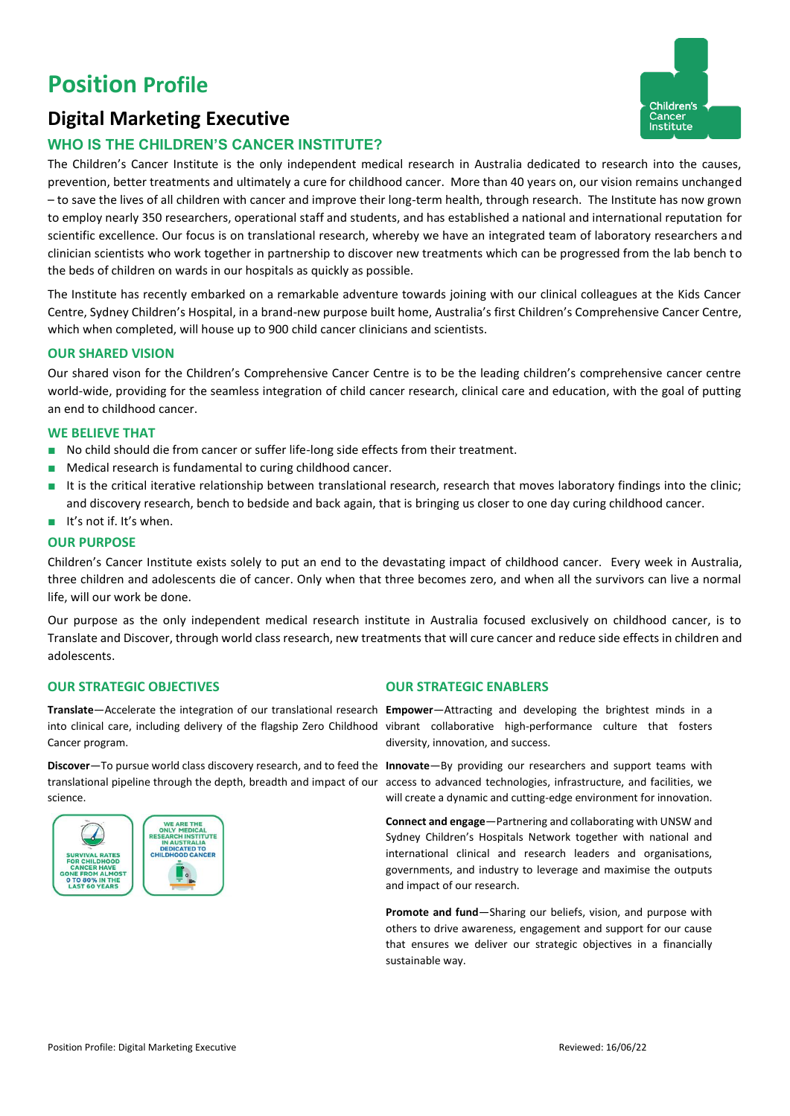# **Position Profile**

## **Digital Marketing Executive**

# Children's Cance **Institute**

### **WHO IS THE CHILDREN'S CANCER INSTITUTE?**

The Children's Cancer Institute is the only independent medical research in Australia dedicated to research into the causes, prevention, better treatments and ultimately a cure for childhood cancer. More than 40 years on, our vision remains unchanged – to save the lives of all children with cancer and improve their long-term health, through research. The Institute has now grown to employ nearly 350 researchers, operational staff and students, and has established a national and international reputation for scientific excellence. Our focus is on translational research, whereby we have an integrated team of laboratory researchers and clinician scientists who work together in partnership to discover new treatments which can be progressed from the lab bench to the beds of children on wards in our hospitals as quickly as possible.

The Institute has recently embarked on a remarkable adventure towards joining with our clinical colleagues at the Kids Cancer Centre, Sydney Children's Hospital, in a brand-new purpose built home, Australia's first Children's Comprehensive Cancer Centre, which when completed, will house up to 900 child cancer clinicians and scientists.

#### **OUR SHARED VISION**

Our shared vison for the Children's Comprehensive Cancer Centre is to be the leading children's comprehensive cancer centre world-wide, providing for the seamless integration of child cancer research, clinical care and education, with the goal of putting an end to childhood cancer.

#### **WE BELIEVE THAT**

- No child should die from cancer or suffer life-long side effects from their treatment.
- Medical research is fundamental to curing childhood cancer.
- It is the critical iterative relationship between translational research, research that moves laboratory findings into the clinic; and discovery research, bench to bedside and back again, that is bringing us closer to one day curing childhood cancer.
- It's not if. It's when.

#### **OUR PURPOSE**

Children's Cancer Institute exists solely to put an end to the devastating impact of childhood cancer. Every week in Australia, three children and adolescents die of cancer. Only when that three becomes zero, and when all the survivors can live a normal life, will our work be done.

Our purpose as the only independent medical research institute in Australia focused exclusively on childhood cancer, is to Translate and Discover, through world class research, new treatments that will cure cancer and reduce side effects in children and adolescents.

#### **OUR STRATEGIC OBJECTIVES OUR STRATEGIC ENABLERS**

**Translate**—Accelerate the integration of our translational research **Empower**—Attracting and developing the brightest minds in a into clinical care, including delivery of the flagship Zero Childhood vibrant collaborative high-performance culture that fosters Cancer program.

**Discover**—To pursue world class discovery research, and to feed the **Innovate**—By providing our researchers and support teams with translational pipeline through the depth, breadth and impact of our science.



diversity, innovation, and success.

access to advanced technologies, infrastructure, and facilities, we will create a dynamic and cutting-edge environment for innovation.

**Connect and engage**—Partnering and collaborating with UNSW and Sydney Children's Hospitals Network together with national and international clinical and research leaders and organisations, governments, and industry to leverage and maximise the outputs and impact of our research.

**Promote and fund**—Sharing our beliefs, vision, and purpose with others to drive awareness, engagement and support for our cause that ensures we deliver our strategic objectives in a financially sustainable way.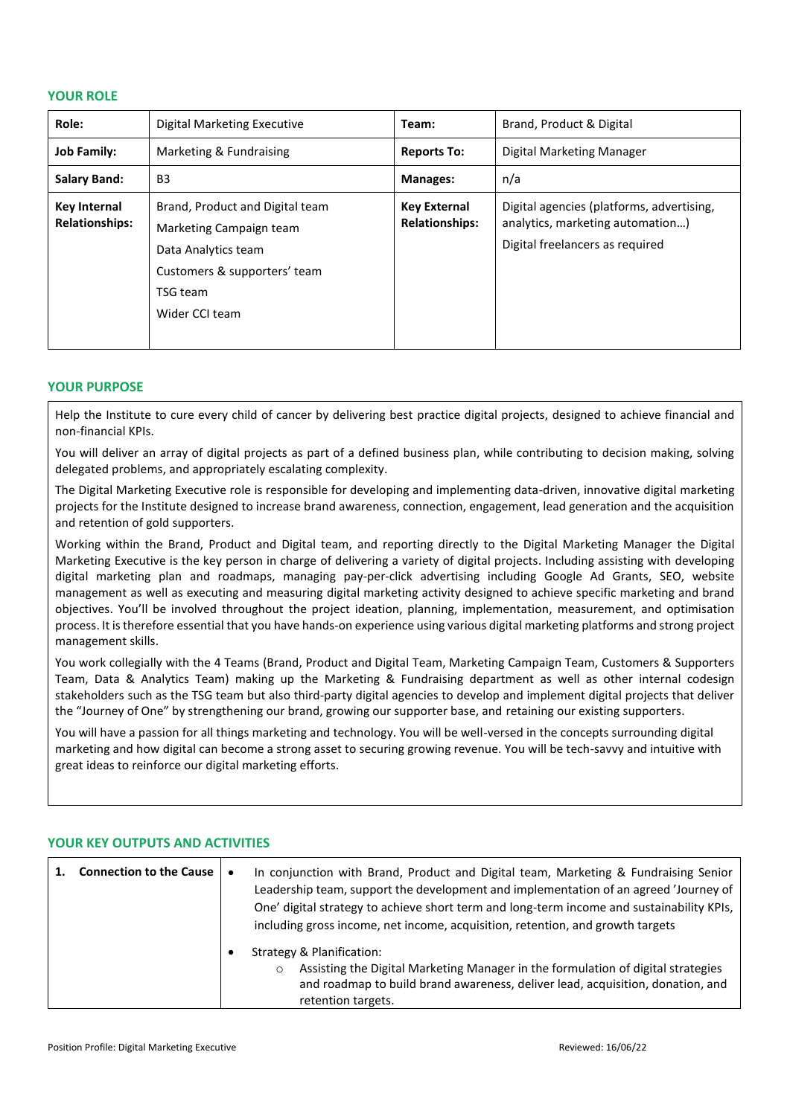#### **YOUR ROLE**

| Role:                                        | <b>Digital Marketing Executive</b>                                                                                                              | Team:                                        | Brand, Product & Digital                                                                                         |
|----------------------------------------------|-------------------------------------------------------------------------------------------------------------------------------------------------|----------------------------------------------|------------------------------------------------------------------------------------------------------------------|
| <b>Job Family:</b>                           | Marketing & Fundraising                                                                                                                         | <b>Reports To:</b>                           | Digital Marketing Manager                                                                                        |
| <b>Salary Band:</b>                          | B <sub>3</sub>                                                                                                                                  | <b>Manages:</b>                              | n/a                                                                                                              |
| <b>Key Internal</b><br><b>Relationships:</b> | Brand, Product and Digital team<br>Marketing Campaign team<br>Data Analytics team<br>Customers & supporters' team<br>TSG team<br>Wider CCI team | <b>Key External</b><br><b>Relationships:</b> | Digital agencies (platforms, advertising,<br>analytics, marketing automation)<br>Digital freelancers as required |

#### **YOUR PURPOSE**

Help the Institute to cure every child of cancer by delivering best practice digital projects, designed to achieve financial and non-financial KPIs.

You will deliver an array of digital projects as part of a defined business plan, while contributing to decision making, solving delegated problems, and appropriately escalating complexity.

The Digital Marketing Executive role is responsible for developing and implementing data-driven, innovative digital marketing projects for the Institute designed to increase brand awareness, connection, engagement, lead generation and the acquisition and retention of gold supporters.

Working within the Brand, Product and Digital team, and reporting directly to the Digital Marketing Manager the Digital Marketing Executive is the key person in charge of delivering a variety of digital projects. Including assisting with developing digital marketing plan and roadmaps, managing pay-per-click advertising including Google Ad Grants, SEO, website management as well as executing and measuring digital marketing activity designed to achieve specific marketing and brand objectives. You'll be involved throughout the project ideation, planning, implementation, measurement, and optimisation process. It is therefore essential that you have hands-on experience using various digital marketing platforms and strong project management skills.

You work collegially with the 4 Teams (Brand, Product and Digital Team, Marketing Campaign Team, Customers & Supporters Team, Data & Analytics Team) making up the Marketing & Fundraising department as well as other internal codesign stakeholders such as the TSG team but also third-party digital agencies to develop and implement digital projects that deliver the "Journey of One" by strengthening our brand, growing our supporter base, and retaining our existing supporters.

You will have a passion for all things marketing and technology. You will be well-versed in the concepts surrounding digital marketing and how digital can become a strong asset to securing growing revenue. You will be tech-savvy and intuitive with great ideas to reinforce our digital marketing efforts.

| <b>Connection to the Cause</b> | In conjunction with Brand, Product and Digital team, Marketing & Fundraising Senior<br>Leadership team, support the development and implementation of an agreed 'Journey of<br>One' digital strategy to achieve short term and long-term income and sustainability KPIs,<br>including gross income, net income, acquisition, retention, and growth targets |
|--------------------------------|------------------------------------------------------------------------------------------------------------------------------------------------------------------------------------------------------------------------------------------------------------------------------------------------------------------------------------------------------------|
|                                | Strategy & Planification:<br>Assisting the Digital Marketing Manager in the formulation of digital strategies<br>$\circ$<br>and roadmap to build brand awareness, deliver lead, acquisition, donation, and<br>retention targets.                                                                                                                           |

#### **YOUR KEY OUTPUTS AND ACTIVITIES**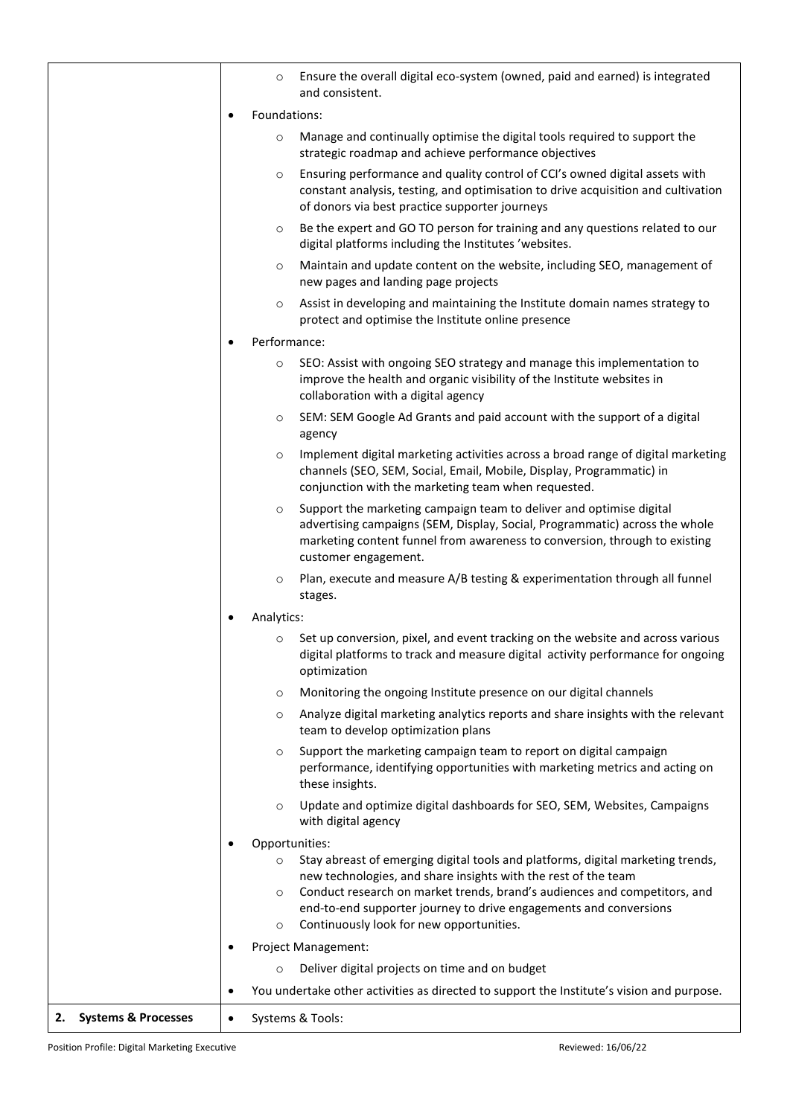|                                      |              | $\circ$                       | Ensure the overall digital eco-system (owned, paid and earned) is integrated<br>and consistent.                                                                                                                                                                                                                                                 |
|--------------------------------------|--------------|-------------------------------|-------------------------------------------------------------------------------------------------------------------------------------------------------------------------------------------------------------------------------------------------------------------------------------------------------------------------------------------------|
|                                      | Foundations: |                               |                                                                                                                                                                                                                                                                                                                                                 |
|                                      |              | $\circ$                       | Manage and continually optimise the digital tools required to support the<br>strategic roadmap and achieve performance objectives                                                                                                                                                                                                               |
|                                      |              | $\circ$                       | Ensuring performance and quality control of CCI's owned digital assets with<br>constant analysis, testing, and optimisation to drive acquisition and cultivation<br>of donors via best practice supporter journeys                                                                                                                              |
|                                      |              | $\circ$                       | Be the expert and GO TO person for training and any questions related to our<br>digital platforms including the Institutes 'websites.                                                                                                                                                                                                           |
|                                      |              | $\circ$                       | Maintain and update content on the website, including SEO, management of<br>new pages and landing page projects                                                                                                                                                                                                                                 |
|                                      |              | $\circ$                       | Assist in developing and maintaining the Institute domain names strategy to<br>protect and optimise the Institute online presence                                                                                                                                                                                                               |
|                                      |              | Performance:                  |                                                                                                                                                                                                                                                                                                                                                 |
|                                      |              | $\circ$                       | SEO: Assist with ongoing SEO strategy and manage this implementation to<br>improve the health and organic visibility of the Institute websites in<br>collaboration with a digital agency                                                                                                                                                        |
|                                      |              | $\circ$                       | SEM: SEM Google Ad Grants and paid account with the support of a digital<br>agency                                                                                                                                                                                                                                                              |
|                                      |              | $\circ$                       | Implement digital marketing activities across a broad range of digital marketing<br>channels (SEO, SEM, Social, Email, Mobile, Display, Programmatic) in<br>conjunction with the marketing team when requested.                                                                                                                                 |
|                                      |              | $\circ$                       | Support the marketing campaign team to deliver and optimise digital<br>advertising campaigns (SEM, Display, Social, Programmatic) across the whole<br>marketing content funnel from awareness to conversion, through to existing<br>customer engagement.                                                                                        |
|                                      |              | $\circ$                       | Plan, execute and measure A/B testing & experimentation through all funnel<br>stages.                                                                                                                                                                                                                                                           |
|                                      |              | Analytics:                    |                                                                                                                                                                                                                                                                                                                                                 |
|                                      |              | $\circ$                       | Set up conversion, pixel, and event tracking on the website and across various<br>digital platforms to track and measure digital activity performance for ongoing<br>optimization                                                                                                                                                               |
|                                      |              | $\circ$                       | Monitoring the ongoing Institute presence on our digital channels                                                                                                                                                                                                                                                                               |
|                                      |              | $\circ$                       | Analyze digital marketing analytics reports and share insights with the relevant<br>team to develop optimization plans                                                                                                                                                                                                                          |
|                                      |              | $\circ$                       | Support the marketing campaign team to report on digital campaign<br>performance, identifying opportunities with marketing metrics and acting on<br>these insights.                                                                                                                                                                             |
|                                      |              | $\circ$                       | Update and optimize digital dashboards for SEO, SEM, Websites, Campaigns<br>with digital agency                                                                                                                                                                                                                                                 |
|                                      |              | Opportunities:                |                                                                                                                                                                                                                                                                                                                                                 |
|                                      |              | $\circ$<br>$\circ$<br>$\circ$ | Stay abreast of emerging digital tools and platforms, digital marketing trends,<br>new technologies, and share insights with the rest of the team<br>Conduct research on market trends, brand's audiences and competitors, and<br>end-to-end supporter journey to drive engagements and conversions<br>Continuously look for new opportunities. |
|                                      |              |                               | Project Management:                                                                                                                                                                                                                                                                                                                             |
|                                      |              | $\circ$                       | Deliver digital projects on time and on budget                                                                                                                                                                                                                                                                                                  |
|                                      |              |                               | You undertake other activities as directed to support the Institute's vision and purpose.                                                                                                                                                                                                                                                       |
| <b>Systems &amp; Processes</b><br>2. | $\bullet$    |                               | Systems & Tools:                                                                                                                                                                                                                                                                                                                                |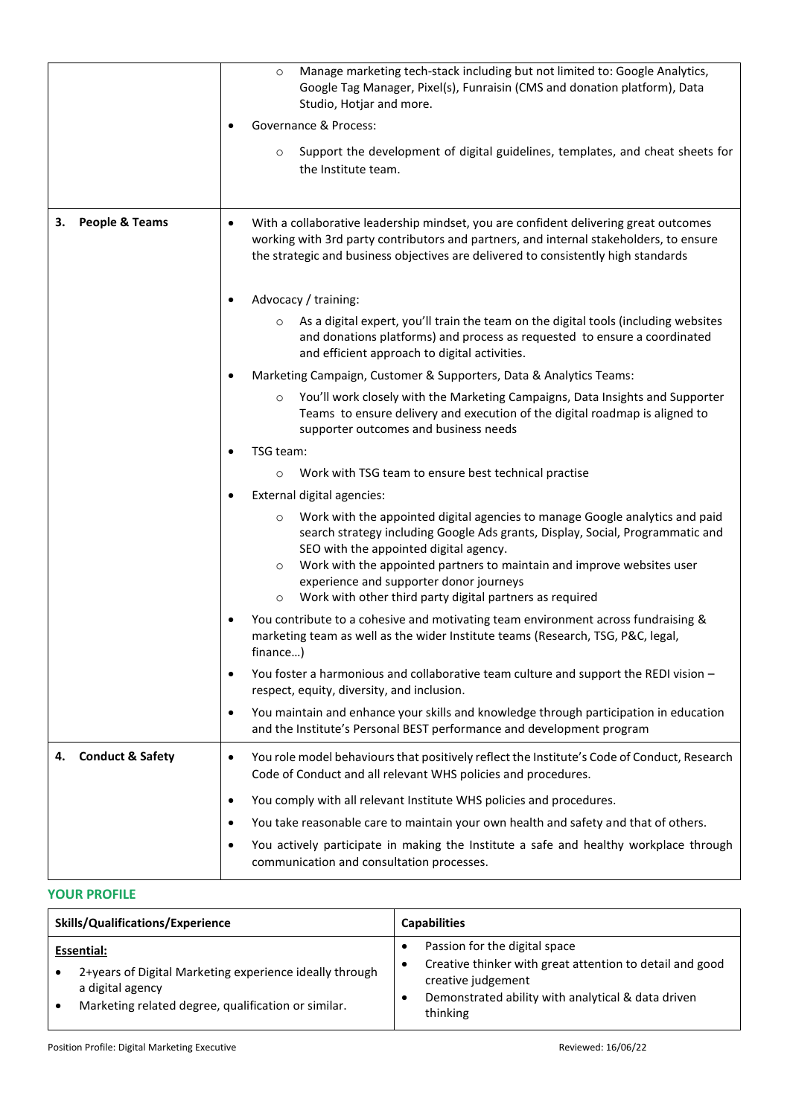|                                   | Manage marketing tech-stack including but not limited to: Google Analytics,<br>$\circ$<br>Google Tag Manager, Pixel(s), Funraisin (CMS and donation platform), Data<br>Studio, Hotjar and more.                                                                                                                                                                                                                      |
|-----------------------------------|----------------------------------------------------------------------------------------------------------------------------------------------------------------------------------------------------------------------------------------------------------------------------------------------------------------------------------------------------------------------------------------------------------------------|
|                                   | Governance & Process:                                                                                                                                                                                                                                                                                                                                                                                                |
|                                   | Support the development of digital guidelines, templates, and cheat sheets for<br>$\circ$<br>the Institute team.                                                                                                                                                                                                                                                                                                     |
| People & Teams<br>з.              | With a collaborative leadership mindset, you are confident delivering great outcomes<br>$\bullet$<br>working with 3rd party contributors and partners, and internal stakeholders, to ensure<br>the strategic and business objectives are delivered to consistently high standards                                                                                                                                    |
|                                   | Advocacy / training:                                                                                                                                                                                                                                                                                                                                                                                                 |
|                                   | As a digital expert, you'll train the team on the digital tools (including websites<br>$\circ$<br>and donations platforms) and process as requested to ensure a coordinated<br>and efficient approach to digital activities.                                                                                                                                                                                         |
|                                   | Marketing Campaign, Customer & Supporters, Data & Analytics Teams:                                                                                                                                                                                                                                                                                                                                                   |
|                                   | You'll work closely with the Marketing Campaigns, Data Insights and Supporter<br>$\circ$<br>Teams to ensure delivery and execution of the digital roadmap is aligned to<br>supporter outcomes and business needs                                                                                                                                                                                                     |
|                                   | TSG team:                                                                                                                                                                                                                                                                                                                                                                                                            |
|                                   | Work with TSG team to ensure best technical practise<br>$\circ$                                                                                                                                                                                                                                                                                                                                                      |
|                                   | External digital agencies:                                                                                                                                                                                                                                                                                                                                                                                           |
|                                   | Work with the appointed digital agencies to manage Google analytics and paid<br>O<br>search strategy including Google Ads grants, Display, Social, Programmatic and<br>SEO with the appointed digital agency.<br>Work with the appointed partners to maintain and improve websites user<br>$\circ$<br>experience and supporter donor journeys<br>Work with other third party digital partners as required<br>$\circ$ |
|                                   | You contribute to a cohesive and motivating team environment across fundraising &<br>marketing team as well as the wider Institute teams (Research, TSG, P&C, legal,<br>finance)                                                                                                                                                                                                                                     |
|                                   | You foster a harmonious and collaborative team culture and support the REDI vision -<br>$\bullet$<br>respect, equity, diversity, and inclusion.                                                                                                                                                                                                                                                                      |
|                                   | You maintain and enhance your skills and knowledge through participation in education<br>٠<br>and the Institute's Personal BEST performance and development program                                                                                                                                                                                                                                                  |
| <b>Conduct &amp; Safety</b><br>4. | You role model behaviours that positively reflect the Institute's Code of Conduct, Research<br>$\bullet$<br>Code of Conduct and all relevant WHS policies and procedures.                                                                                                                                                                                                                                            |
|                                   | You comply with all relevant Institute WHS policies and procedures.<br>٠                                                                                                                                                                                                                                                                                                                                             |
|                                   | You take reasonable care to maintain your own health and safety and that of others.                                                                                                                                                                                                                                                                                                                                  |
|                                   | You actively participate in making the Institute a safe and healthy workplace through<br>communication and consultation processes.                                                                                                                                                                                                                                                                                   |

#### **YOUR PROFILE**

| Skills/Qualifications/Experience                                                                                                                 | <b>Capabilities</b>                                                                                                                                                               |  |  |
|--------------------------------------------------------------------------------------------------------------------------------------------------|-----------------------------------------------------------------------------------------------------------------------------------------------------------------------------------|--|--|
| Essential:<br>2+years of Digital Marketing experience ideally through<br>a digital agency<br>Marketing related degree, qualification or similar. | Passion for the digital space<br>Creative thinker with great attention to detail and good<br>creative judgement<br>Demonstrated ability with analytical & data driven<br>thinking |  |  |